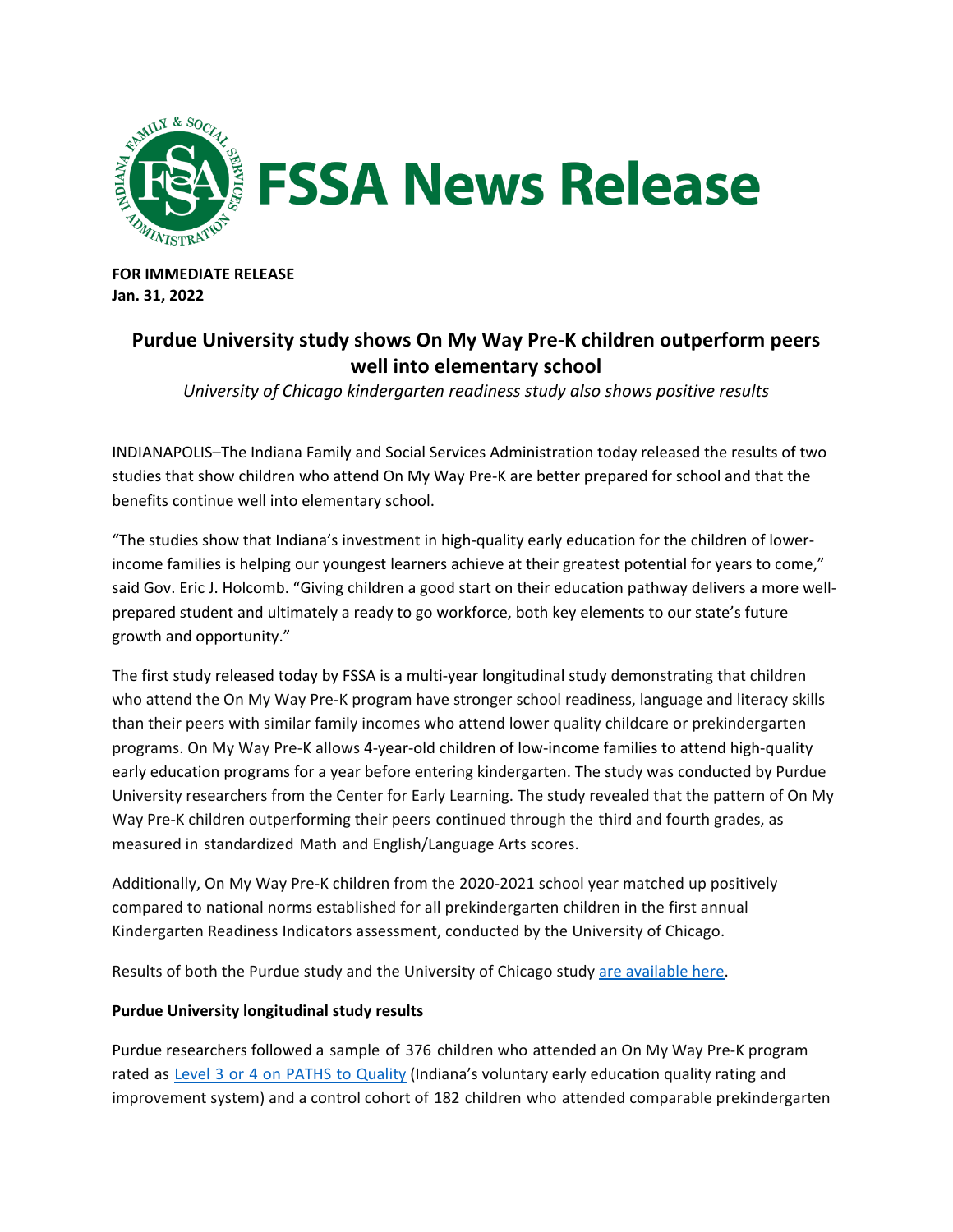

**FOR IMMEDIATE RELEASE Jan. 31, 2022** 

# **Purdue University study shows On My Way Pre-K children outperform peers well into elementary school**

*University of Chicago kindergarten readiness study also shows positive results* 

INDIANAPOLIS–The Indiana Family and Social Services Administration today released the results of two studies that show children who attend On My Way Pre-K are better prepared for school and that the benefits continue well into elementary school.

"The studies show that Indiana's investment in high-quality early education for the children of lowerincome families is helping our youngest learners achieve at their greatest potential for years to come," said Gov. Eric J. Holcomb. "Giving children a good start on their education pathway delivers a more wellprepared student and ultimately a ready to go workforce, both key elements to our state's future growth and opportunity."

The first study released today by FSSA is a multi-year longitudinal study demonstrating that children who attend the On My Way Pre-K program have stronger school readiness, language and literacy skills than their peers with similar family incomes who attend lower quality childcare or prekindergarten programs. On My Way Pre-K allows 4-year-old children of low-income families to attend high-quality early education programs for a year before entering kindergarten. The study was conducted by Purdue University researchers from the Center for Early Learning. The study revealed that the pattern of On My Way Pre-K children outperforming their peers continued through the third and fourth grades, as measured in standardized Math and English/Language Arts scores.

Additionally, On My Way Pre-K children from the 2020-2021 school year matched up positively compared to national norms established for all prekindergarten children in the first annual Kindergarten Readiness Indicators assessment, conducted by the University of Chicago.

Results of both the Purdue study and the University of Chicago study [are available here.](https://www.in.gov/fssa/carefinder/on-my-way-pre-k/on-my-way-pre-k-study-results/)

## **Purdue University longitudinal study results**

Purdue researchers followed a sample of 376 children who attended an On My Way Pre-K program rated as [Level 3 or 4 on](https://www.in.gov/fssa/pathstoquality/) PATHS to Quality (Indiana's voluntary early education quality rating and improvement system) and a control cohort of 182 children who attended comparable prekindergarten